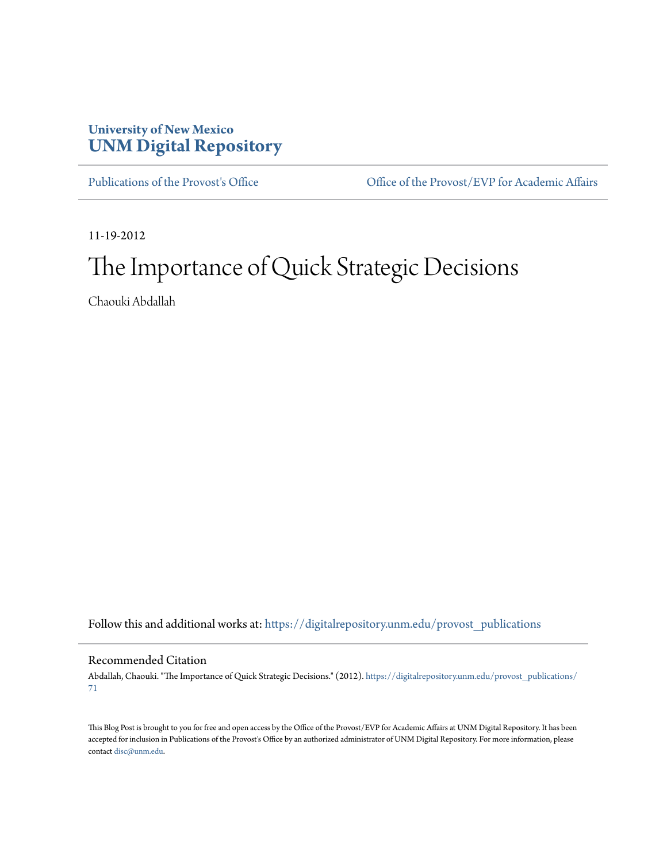### **University of New Mexico [UNM Digital Repository](https://digitalrepository.unm.edu?utm_source=digitalrepository.unm.edu%2Fprovost_publications%2F71&utm_medium=PDF&utm_campaign=PDFCoverPages)**

[Publications of the Provost's Office](https://digitalrepository.unm.edu/provost_publications?utm_source=digitalrepository.unm.edu%2Fprovost_publications%2F71&utm_medium=PDF&utm_campaign=PDFCoverPages) **Office Office of the Provost/EVP** for Academic Affairs

11-19-2012

## The Importance of Quick Strategic Decisions

Chaouki Abdallah

Follow this and additional works at: [https://digitalrepository.unm.edu/provost\\_publications](https://digitalrepository.unm.edu/provost_publications?utm_source=digitalrepository.unm.edu%2Fprovost_publications%2F71&utm_medium=PDF&utm_campaign=PDFCoverPages)

#### Recommended Citation

Abdallah, Chaouki. "The Importance of Quick Strategic Decisions." (2012). [https://digitalrepository.unm.edu/provost\\_publications/](https://digitalrepository.unm.edu/provost_publications/71?utm_source=digitalrepository.unm.edu%2Fprovost_publications%2F71&utm_medium=PDF&utm_campaign=PDFCoverPages) [71](https://digitalrepository.unm.edu/provost_publications/71?utm_source=digitalrepository.unm.edu%2Fprovost_publications%2F71&utm_medium=PDF&utm_campaign=PDFCoverPages)

This Blog Post is brought to you for free and open access by the Office of the Provost/EVP for Academic Affairs at UNM Digital Repository. It has been accepted for inclusion in Publications of the Provost's Office by an authorized administrator of UNM Digital Repository. For more information, please contact [disc@unm.edu.](mailto:disc@unm.edu)